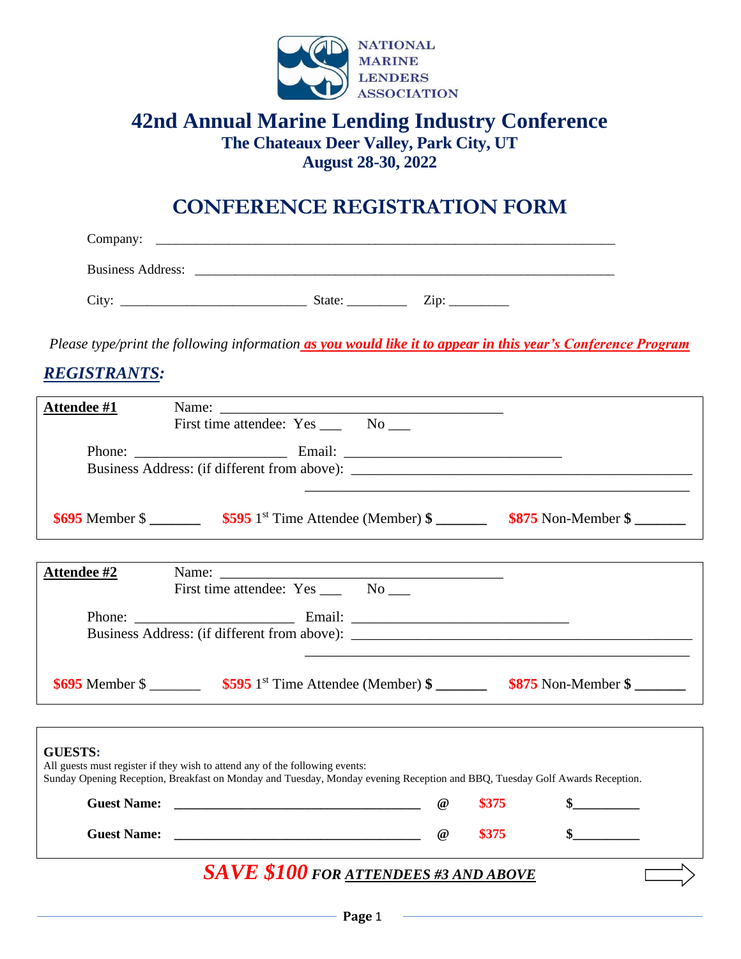

### **42nd Annual Marine Lending Industry Conference The Chateaux Deer Valley, Park City, UT August 28-30, 2022**

## **CONFERENCE REGISTRATION FORM**

| Company:                 |        |      |
|--------------------------|--------|------|
| <b>Business Address:</b> |        |      |
| City:                    | State: | Zin: |

*Please type/print the following information as you would like it to appear in this year's Conference Program*

### *REGISTRANTS:*

| Attendee #1    | Name:<br>First time attendee: Yes _______ No _____                                                                                                                                                          |          |       |              |  |
|----------------|-------------------------------------------------------------------------------------------------------------------------------------------------------------------------------------------------------------|----------|-------|--------------|--|
|                |                                                                                                                                                                                                             |          |       |              |  |
|                |                                                                                                                                                                                                             |          |       |              |  |
|                |                                                                                                                                                                                                             |          |       |              |  |
|                |                                                                                                                                                                                                             |          |       |              |  |
|                |                                                                                                                                                                                                             |          |       |              |  |
| Attendee #2    |                                                                                                                                                                                                             |          |       |              |  |
|                |                                                                                                                                                                                                             |          |       |              |  |
|                |                                                                                                                                                                                                             |          |       |              |  |
|                |                                                                                                                                                                                                             |          |       |              |  |
|                |                                                                                                                                                                                                             |          |       |              |  |
|                |                                                                                                                                                                                                             |          |       |              |  |
| <b>GUESTS:</b> | All guests must register if they wish to attend any of the following events:<br>Sunday Opening Reception, Breakfast on Monday and Tuesday, Monday evening Reception and BBQ, Tuesday Golf Awards Reception. |          |       |              |  |
|                |                                                                                                                                                                                                             | $\omega$ | \$375 |              |  |
|                |                                                                                                                                                                                                             | $\omega$ | \$375 | $\mathbf{s}$ |  |
|                | <b>SAVE \$100 FOR ATTENDEES #3 AND ABOVE</b>                                                                                                                                                                |          |       |              |  |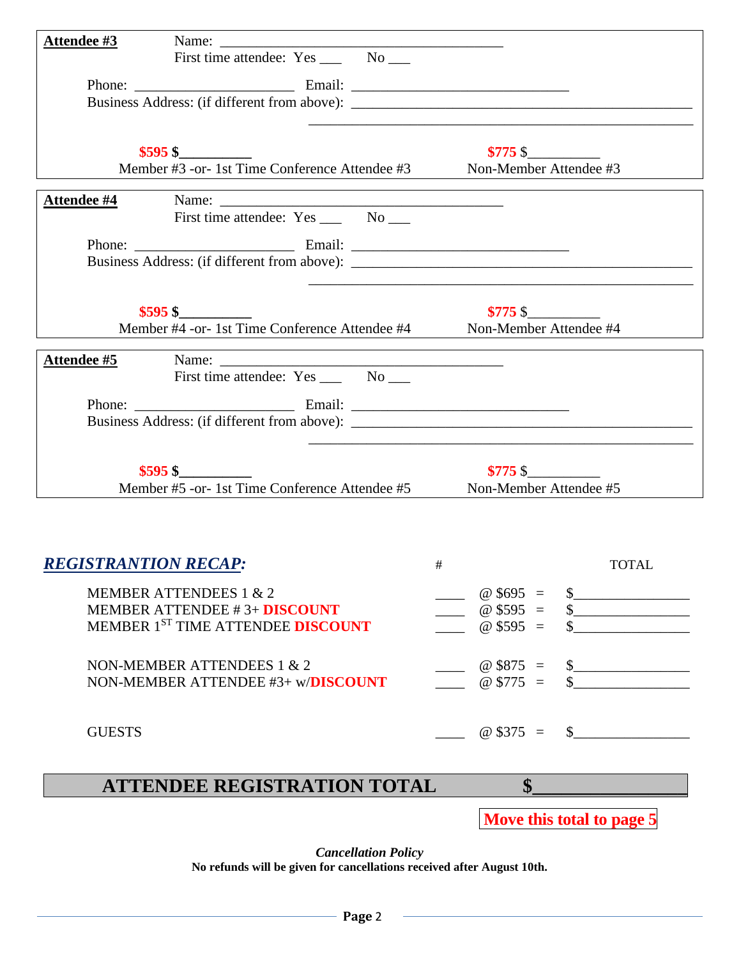| Attendee #3                 | the control of the control of the control of the control of the control of the control of the control of the control of the control of the control of the control of the control of the control of the control of the control |                        |                             |
|-----------------------------|-------------------------------------------------------------------------------------------------------------------------------------------------------------------------------------------------------------------------------|------------------------|-----------------------------|
|                             |                                                                                                                                                                                                                               |                        |                             |
|                             |                                                                                                                                                                                                                               |                        |                             |
|                             |                                                                                                                                                                                                                               |                        |                             |
|                             |                                                                                                                                                                                                                               |                        |                             |
|                             | $$595$ \$                                                                                                                                                                                                                     | $$775$ \$              |                             |
|                             | Member #3 -or- 1st Time Conference Attendee #3 Non-Member Attendee #3                                                                                                                                                         |                        |                             |
|                             |                                                                                                                                                                                                                               |                        |                             |
| <u>Attendee #4</u>          |                                                                                                                                                                                                                               |                        |                             |
|                             |                                                                                                                                                                                                                               |                        |                             |
|                             |                                                                                                                                                                                                                               |                        |                             |
|                             |                                                                                                                                                                                                                               |                        |                             |
|                             |                                                                                                                                                                                                                               |                        |                             |
|                             | $$595$ \$<br>Nember #4 -or- 1st Time Conference Attendee #4<br>Member #4 -or- 1st Time Conference Attendee #4                                                                                                                 | $$775$ \$              |                             |
|                             |                                                                                                                                                                                                                               |                        |                             |
| <u>Attendee #5</u>          |                                                                                                                                                                                                                               |                        |                             |
|                             |                                                                                                                                                                                                                               |                        |                             |
|                             |                                                                                                                                                                                                                               |                        |                             |
|                             | Business Address: (if different from above):                                                                                                                                                                                  |                        |                             |
|                             |                                                                                                                                                                                                                               |                        |                             |
|                             | $$595$ \$                                                                                                                                                                                                                     | $$775$ \$              |                             |
|                             | Member #5 -or- 1st Time Conference Attendee #5                                                                                                                                                                                | Non-Member Attendee #5 |                             |
|                             |                                                                                                                                                                                                                               |                        |                             |
|                             |                                                                                                                                                                                                                               |                        |                             |
|                             |                                                                                                                                                                                                                               |                        |                             |
| <b>REGISTRANTION RECAP:</b> |                                                                                                                                                                                                                               | #                      | <b>TOTAL</b>                |
|                             | <b>MEMBER ATTENDEES 1 &amp; 2</b>                                                                                                                                                                                             | $@$ \$695 =            | $\frac{\text{S}}{\text{S}}$ |
|                             | <b>MEMBER ATTENDEE #3+ DISCOUNT</b>                                                                                                                                                                                           | $@$ \$595 =            | $\frac{\text{S}}{\text{S}}$ |
|                             | MEMBER 1ST TIME ATTENDEE DISCOUNT                                                                                                                                                                                             | $@$ \$595 =            |                             |
|                             |                                                                                                                                                                                                                               |                        |                             |
|                             | NON-MEMBER ATTENDEES 1 & 2                                                                                                                                                                                                    | $@$ \$875 =            | $\frac{\text{S}}{\text{S}}$ |
|                             | NON-MEMBER ATTENDEE #3+ w/DISCOUNT                                                                                                                                                                                            | $@$775 =$              |                             |
|                             |                                                                                                                                                                                                                               |                        |                             |
| <b>GUESTS</b>               |                                                                                                                                                                                                                               | $@$375 =$              | $\mathbb{S}$                |
|                             |                                                                                                                                                                                                                               |                        |                             |
|                             |                                                                                                                                                                                                                               | $\mathbf{\$}$          |                             |
|                             | <b>ATTENDEE REGISTRATION TOTAL</b>                                                                                                                                                                                            |                        |                             |

**Move this total to page 5**

*Cancellation Policy*

**No refunds will be given for cancellations received after August 10th.**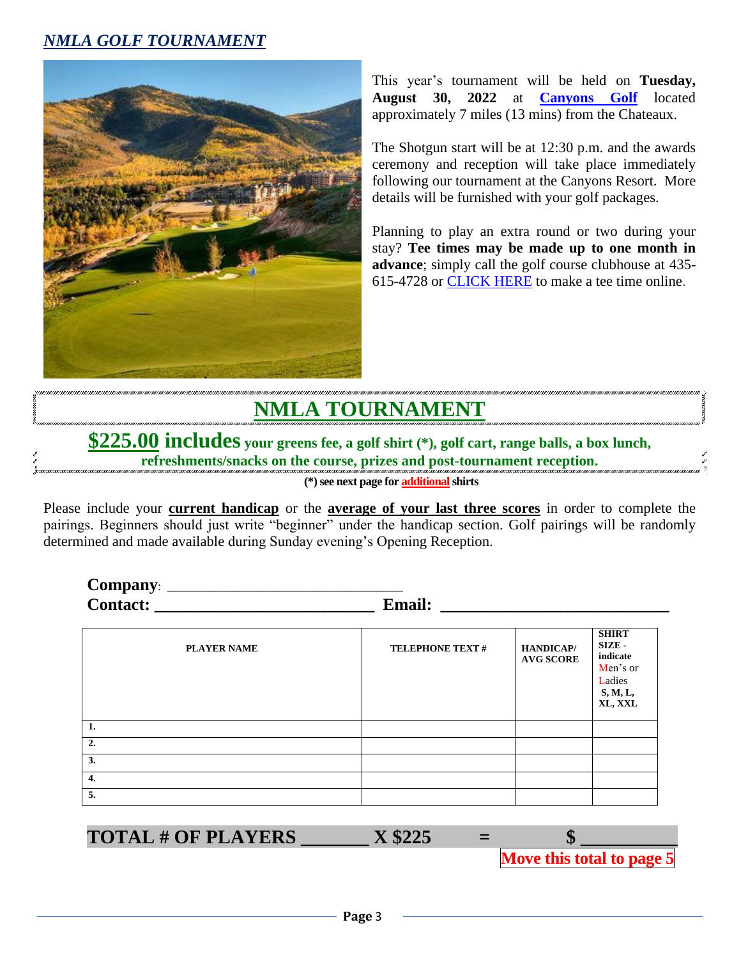### *NMLA GOLF TOURNAMENT*



This year's tournament will be held on **Tuesday, August 30, 2022** at **[Canyons Golf](https://www.parkcitymountain.com/explore-the-resort/activities/golf.aspx)** located approximately 7 miles (13 mins) from the Chateaux.

The Shotgun start will be at 12:30 p.m. and the awards ceremony and reception will take place immediately following our tournament at the Canyons Resort. More details will be furnished with your golf packages.

Planning to play an extra round or two during your stay? **Tee times may be made up to one month in advance**; simply call the golf course clubhouse at 435- 615-4728 or [CLICK HERE](https://canyons.quick18.com/teetimes/searchmatrix?INTCMP=PC_BOOKING_GOLF) to make a tee time online.

# **NMLA TOURNAMENT**

**\$225.00 includes your greens fee, a golf shirt (\*), golf cart, range balls, a box lunch, refreshments/snacks on the course, prizes and post-tournament reception.**

**(\*) see next page for additionalshirts**

Please include your **current handicap** or the **average of your last three scores** in order to complete the pairings. Beginners should just write "beginner" under the handicap section. Golf pairings will be randomly determined and made available during Sunday evening's Opening Reception.

**Company**: \_\_\_\_\_\_\_\_\_\_\_\_\_\_\_\_\_\_\_\_\_\_\_\_\_\_\_\_\_\_\_\_\_\_\_\_\_\_\_ **Contact: \_\_\_\_\_\_\_\_\_\_\_\_\_\_\_\_\_\_\_\_\_\_\_\_\_\_ Email: \_\_\_\_\_\_\_\_\_\_\_\_\_\_\_\_\_\_\_\_\_\_\_\_\_\_\_**

| <b>PLAYER NAME</b> | <b>TELEPHONE TEXT#</b> | <b>HANDICAP/</b><br><b>AVG SCORE</b> | <b>SHIRT</b><br><b>SIZE</b> -<br>indicate<br>Men's or<br>Ladies<br>S, M, L,<br>XL, XXL |
|--------------------|------------------------|--------------------------------------|----------------------------------------------------------------------------------------|
| $\blacksquare$ 1.  |                        |                                      |                                                                                        |
| 2.                 |                        |                                      |                                                                                        |
| 3.                 |                        |                                      |                                                                                        |
| 4.                 |                        |                                      |                                                                                        |
| 5.                 |                        |                                      |                                                                                        |

 $\textbf{TOTAL} \# \textbf{OF PLAYERS}$   $\textbf{X $225}$  =

**Move this total to page 5**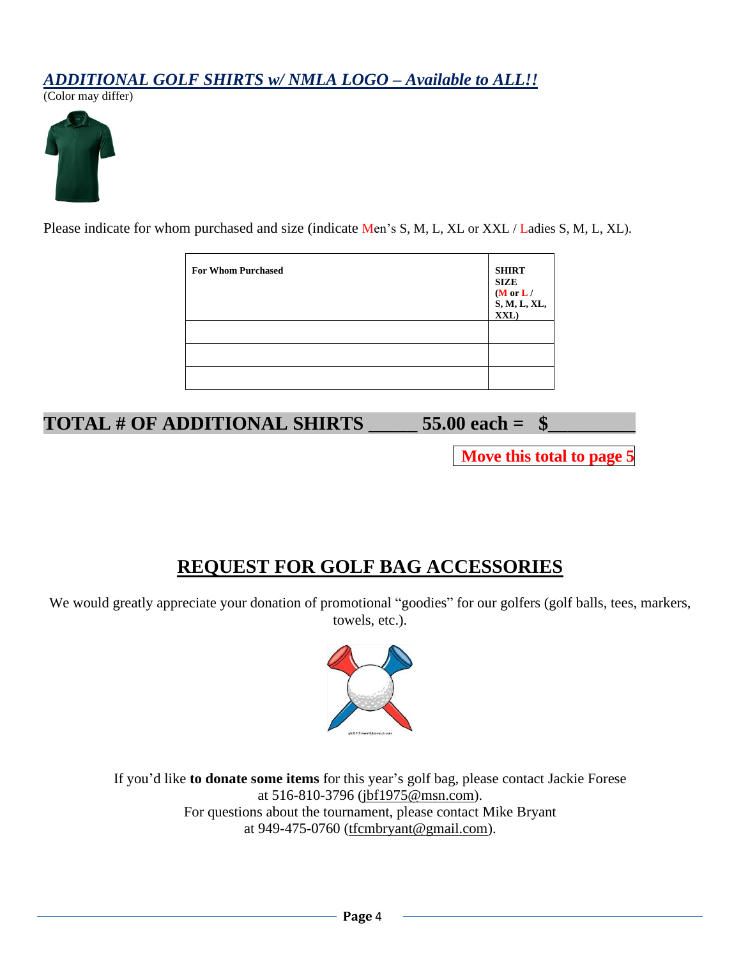#### *ADDITIONAL GOLF SHIRTS w/ NMLA LOGO – Available to ALL!!*

(Color may differ)



Please indicate for whom purchased and size (indicate Men's S, M, L, XL or XXL / Ladies S, M, L, XL).

| <b>For Whom Purchased</b> | <b>SHIRT</b><br><b>SIZE</b><br>( $M$ or $L/$<br>$\begin{array}{l} \textbf{S}, \textbf{M}, \textbf{L}, \textbf{XL},\\ \textbf{XXL}) \end{array}$ |
|---------------------------|-------------------------------------------------------------------------------------------------------------------------------------------------|
|                           |                                                                                                                                                 |
|                           |                                                                                                                                                 |
|                           |                                                                                                                                                 |

**TOTAL # OF ADDITIONAL SHIRTS \_\_\_\_\_\_\_\_ 55.00 each = \\$** 

 **Move this total to page 5**

## **REQUEST FOR GOLF BAG ACCESSORIES**

We would greatly appreciate your donation of promotional "goodies" for our golfers (golf balls, tees, markers, towels, etc.).



If you'd like **to donate some items** for this year's golf bag, please contact Jackie Forese at 516-810-3796 [\(jbf1975@msn.com\)](mailto:jbf1975@msn.com). For questions about the tournament, please contact Mike Bryant at 949-475-0760 (tfcmbryant@gmail.com).